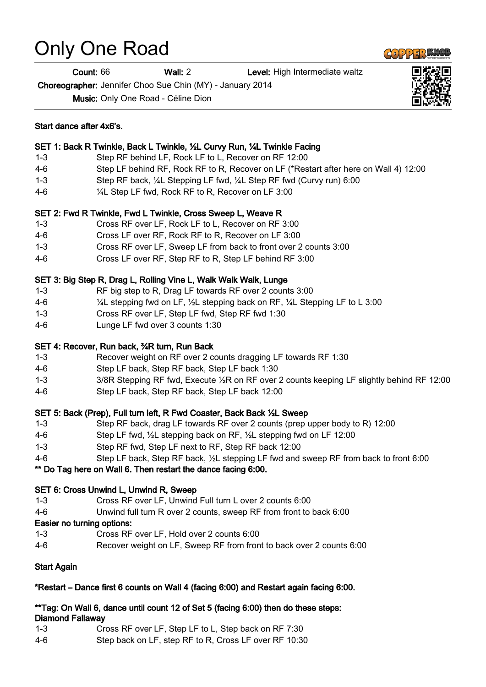# Only One Road

Start dance after 4x6's.

Count: 66 Wall: 2 Level: High Intermediate waltz

Choreographer: Jennifer Choo Sue Chin (MY) - January 2014

Music: Only One Road - Céline Dion

| $4-6$   | Cross LF over RF, Step RF to R, Step LF behind RF 3:00                                     |
|---------|--------------------------------------------------------------------------------------------|
|         | SET 3: Big Step R, Drag L, Rolling Vine L, Walk Walk Walk, Lunge                           |
| $1 - 3$ | RF big step to R, Drag LF towards RF over 2 counts 3:00                                    |
| $4 - 6$ | 1/4L stepping fwd on LF, 1/2L stepping back on RF, 1/4L Stepping LF to L 3:00              |
| $1 - 3$ | Cross RF over LF, Step LF fwd, Step RF fwd 1:30                                            |
| $4-6$   | Lunge LF fwd over 3 counts 1:30                                                            |
|         | SET 4: Recover, Run back, 34R turn, Run Back                                               |
| $1 - 3$ | Recover weight on RF over 2 counts dragging LF towards RF 1:30                             |
| 4-6     | Step LF back, Step RF back, Step LF back 1:30                                              |
| $1 - 3$ | 3/8R Stepping RF fwd, Execute 1/2R on RF over 2 counts keeping LF slightly behind RF 12:00 |
| $4-6$   | Step LF back, Step RF back, Step LF back 12:00                                             |
|         | SET 5: Back (Prep), Full turn left, R Fwd Coaster, Back Back 1/2L Sweep                    |
| $1 - 3$ | Step RF back, drag LF towards RF over 2 counts (prep upper body to R) 12:00                |
| $4-6$   | Step LF fwd, 1/2L stepping back on RF, 1/2L stepping fwd on LF 12:00                       |
| $1 - 3$ | Step RF fwd, Step LF next to RF, Step RF back 12:00                                        |
| $4-6$   | Step LF back, Step RF back, 1/2L stepping LF fwd and sweep RF from back to front 6:00      |
|         | ** Do Tag here on Wall 6. Then restart the dance facing 6:00.                              |
|         | SET 6: Cross Unwind L, Unwind R, Sweep                                                     |
| $1 - 3$ | Cross RF over LF, Unwind Full turn L over 2 counts 6:00                                    |
| $4-6$   | Unwind full turn R over 2 counts, sweep RF from front to back 6:00                         |
|         | Easier no turning options:                                                                 |
| $1 - 3$ | Cross RF over LF, Hold over 2 counts 6:00                                                  |

4-6 Recover weight on LF, Sweep RF from front to back over 2 counts 6:00

# Start Again

# \*Restart – Dance first 6 counts on Wall 4 (facing 6:00) and Restart again facing 6:00.

#### \*\*Tag: On Wall 6, dance until count 12 of Set 5 (facing 6:00) then do these steps: Diamond Fallaway

- 1-3 Cross RF over LF, Step LF to L, Step back on RF 7:30
- 4-6 Step back on LF, step RF to R, Cross LF over RF 10:30





1-3 Step RF back, ¼L Stepping LF fwd, ¼L Step RF fwd (Curvy run) 6:00

1-3 Cross RF over LF, Sweep LF from back to front over 2 counts 3:00

4-6 Step LF behind RF, Rock RF to R, Recover on LF (\*Restart after here on Wall 4) 12:00

SET 1: Back R Twinkle, Back L Twinkle, ½L Curvy Run, ¼L Twinkle Facing 1-3 Step RF behind LF, Rock LF to L, Recover on RF 12:00

4-6 ¼L Step LF fwd, Rock RF to R, Recover on LF 3:00

SET 2: Fwd R Twinkle, Fwd L Twinkle, Cross Sweep L, Weave R 1-3 Cross RF over LF, Rock LF to L, Recover on RF 3:00 4-6 Cross LF over RF, Rock RF to R, Recover on LF 3:00